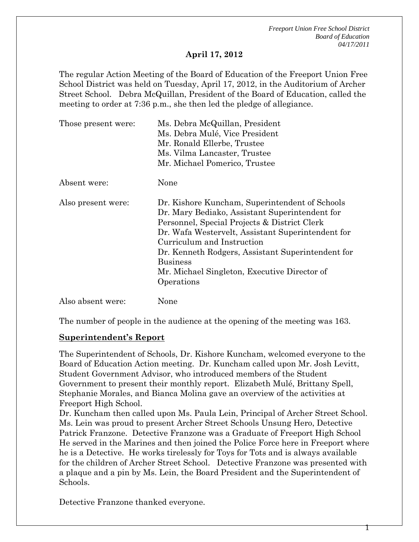*Freeport Union Free School District Board of Education 04/17/2011* 

Т

#### **April 17, 2012**

The regular Action Meeting of the Board of Education of the Freeport Union Free School District was held on Tuesday, April 17, 2012, in the Auditorium of Archer Street School. Debra McQuillan, President of the Board of Education, called the meeting to order at 7:36 p.m., she then led the pledge of allegiance.

| Those present were: | Ms. Debra McQuillan, President<br>Ms. Debra Mulé, Vice President<br>Mr. Ronald Ellerbe, Trustee<br>Ms. Vilma Lancaster, Trustee<br>Mr. Michael Pomerico, Trustee                                                                                                                                                                                                          |  |
|---------------------|---------------------------------------------------------------------------------------------------------------------------------------------------------------------------------------------------------------------------------------------------------------------------------------------------------------------------------------------------------------------------|--|
| Absent were:        | None                                                                                                                                                                                                                                                                                                                                                                      |  |
| Also present were:  | Dr. Kishore Kuncham, Superintendent of Schools<br>Dr. Mary Bediako, Assistant Superintendent for<br>Personnel, Special Projects & District Clerk<br>Dr. Wafa Westervelt, Assistant Superintendent for<br>Curriculum and Instruction<br>Dr. Kenneth Rodgers, Assistant Superintendent for<br><b>Business</b><br>Mr. Michael Singleton, Executive Director of<br>Operations |  |
| Also absent were:   | None                                                                                                                                                                                                                                                                                                                                                                      |  |

The number of people in the audience at the opening of the meeting was 163.

#### **Superintendent's Report**

The Superintendent of Schools, Dr. Kishore Kuncham, welcomed everyone to the Board of Education Action meeting. Dr. Kuncham called upon Mr. Josh Levitt, Student Government Advisor, who introduced members of the Student Government to present their monthly report. Elizabeth Mulé, Brittany Spell, Stephanie Morales, and Bianca Molina gave an overview of the activities at Freeport High School.

Dr. Kuncham then called upon Ms. Paula Lein, Principal of Archer Street School. Ms. Lein was proud to present Archer Street Schools Unsung Hero, Detective Patrick Franzone. Detective Franzone was a Graduate of Freeport High School He served in the Marines and then joined the Police Force here in Freeport where he is a Detective. He works tirelessly for Toys for Tots and is always available for the children of Archer Street School. Detective Franzone was presented with a plaque and a pin by Ms. Lein, the Board President and the Superintendent of Schools.

Detective Franzone thanked everyone.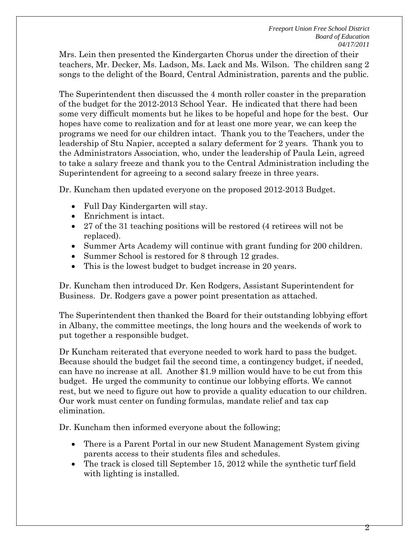Mrs. Lein then presented the Kindergarten Chorus under the direction of their teachers, Mr. Decker, Ms. Ladson, Ms. Lack and Ms. Wilson. The children sang 2 songs to the delight of the Board, Central Administration, parents and the public.

The Superintendent then discussed the 4 month roller coaster in the preparation of the budget for the 2012-2013 School Year. He indicated that there had been some very difficult moments but he likes to be hopeful and hope for the best. Our hopes have come to realization and for at least one more year, we can keep the programs we need for our children intact. Thank you to the Teachers, under the leadership of Stu Napier, accepted a salary deferment for 2 years. Thank you to the Administrators Association, who, under the leadership of Paula Lein, agreed to take a salary freeze and thank you to the Central Administration including the Superintendent for agreeing to a second salary freeze in three years.

Dr. Kuncham then updated everyone on the proposed 2012-2013 Budget.

- Full Day Kindergarten will stay.
- Enrichment is intact.
- 27 of the 31 teaching positions will be restored (4 retirees will not be replaced).
- Summer Arts Academy will continue with grant funding for 200 children.
- Summer School is restored for 8 through 12 grades.
- This is the lowest budget to budget increase in 20 years.

Dr. Kuncham then introduced Dr. Ken Rodgers, Assistant Superintendent for Business. Dr. Rodgers gave a power point presentation as attached.

The Superintendent then thanked the Board for their outstanding lobbying effort in Albany, the committee meetings, the long hours and the weekends of work to put together a responsible budget.

Dr Kuncham reiterated that everyone needed to work hard to pass the budget. Because should the budget fail the second time, a contingency budget, if needed, can have no increase at all. Another \$1.9 million would have to be cut from this budget. He urged the community to continue our lobbying efforts. We cannot rest, but we need to figure out how to provide a quality education to our children. Our work must center on funding formulas, mandate relief and tax cap elimination.

Dr. Kuncham then informed everyone about the following;

- There is a Parent Portal in our new Student Management System giving parents access to their students files and schedules.
- The track is closed till September 15, 2012 while the synthetic turf field with lighting is installed.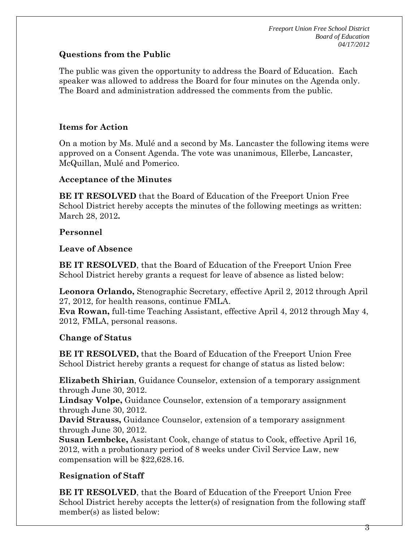## **Questions from the Public**

The public was given the opportunity to address the Board of Education. Each speaker was allowed to address the Board for four minutes on the Agenda only. The Board and administration addressed the comments from the public.

# **Items for Action**

On a motion by Ms. Mulé and a second by Ms. Lancaster the following items were approved on a Consent Agenda. The vote was unanimous, Ellerbe, Lancaster, McQuillan, Mulé and Pomerico.

## **Acceptance of the Minutes**

**BE IT RESOLVED** that the Board of Education of the Freeport Union Free School District hereby accepts the minutes of the following meetings as written: March 28, 2012**.** 

# **Personnel**

## **Leave of Absence**

**BE IT RESOLVED**, that the Board of Education of the Freeport Union Free School District hereby grants a request for leave of absence as listed below:

**Leonora Orlando,** Stenographic Secretary, effective April 2, 2012 through April 27, 2012, for health reasons, continue FMLA.

**Eva Rowan,** full-time Teaching Assistant, effective April 4, 2012 through May 4, 2012, FMLA, personal reasons.

## **Change of Status**

**BE IT RESOLVED,** that the Board of Education of the Freeport Union Free School District hereby grants a request for change of status as listed below:

**Elizabeth Shirian**, Guidance Counselor, extension of a temporary assignment through June 30, 2012.

**Lindsay Volpe,** Guidance Counselor, extension of a temporary assignment through June 30, 2012.

**David Strauss,** Guidance Counselor, extension of a temporary assignment through June 30, 2012.

**Susan Lembcke,** Assistant Cook, change of status to Cook, effective April 16, 2012, with a probationary period of 8 weeks under Civil Service Law, new compensation will be \$22,628.16.

# **Resignation of Staff**

**BE IT RESOLVED**, that the Board of Education of the Freeport Union Free School District hereby accepts the letter(s) of resignation from the following staff member(s) as listed below: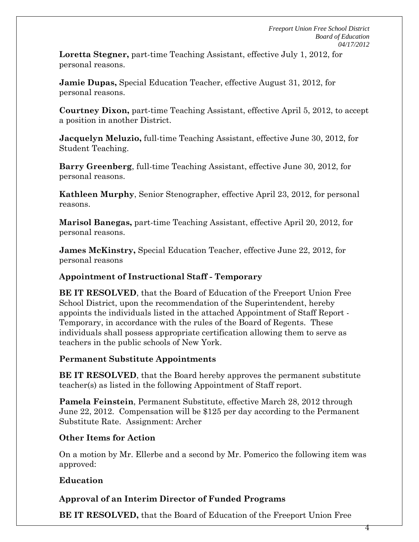**Loretta Stegner,** part-time Teaching Assistant, effective July 1, 2012, for personal reasons.

**Jamie Dupas,** Special Education Teacher, effective August 31, 2012, for personal reasons.

**Courtney Dixon,** part-time Teaching Assistant, effective April 5, 2012, to accept a position in another District.

**Jacquelyn Meluzio,** full-time Teaching Assistant, effective June 30, 2012, for Student Teaching.

**Barry Greenberg**, full-time Teaching Assistant, effective June 30, 2012, for personal reasons.

**Kathleen Murphy**, Senior Stenographer, effective April 23, 2012, for personal reasons.

**Marisol Banegas,** part-time Teaching Assistant, effective April 20, 2012, for personal reasons.

**James McKinstry,** Special Education Teacher, effective June 22, 2012, for personal reasons

### **Appointment of Instructional Staff - Temporary**

**BE IT RESOLVED**, that the Board of Education of the Freeport Union Free School District, upon the recommendation of the Superintendent, hereby appoints the individuals listed in the attached Appointment of Staff Report - Temporary, in accordance with the rules of the Board of Regents. These individuals shall possess appropriate certification allowing them to serve as teachers in the public schools of New York.

### **Permanent Substitute Appointments**

**BE IT RESOLVED**, that the Board hereby approves the permanent substitute teacher(s) as listed in the following Appointment of Staff report.

**Pamela Feinstein**, Permanent Substitute, effective March 28, 2012 through June 22, 2012. Compensation will be \$125 per day according to the Permanent Substitute Rate. Assignment: Archer

### **Other Items for Action**

On a motion by Mr. Ellerbe and a second by Mr. Pomerico the following item was approved:

## **Education**

# **Approval of an Interim Director of Funded Programs**

**BE IT RESOLVED,** that the Board of Education of the Freeport Union Free

4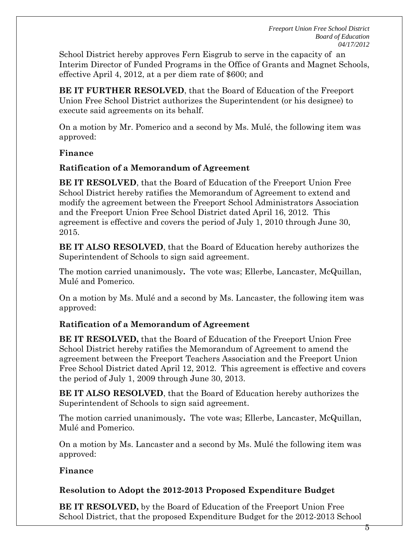*Freeport Union Free School District Board of Education 04/17/2012* 

School District hereby approves Fern Eisgrub to serve in the capacity of an Interim Director of Funded Programs in the Office of Grants and Magnet Schools, effective April 4, 2012, at a per diem rate of \$600; and

**BE IT FURTHER RESOLVED**, that the Board of Education of the Freeport Union Free School District authorizes the Superintendent (or his designee) to execute said agreements on its behalf.

On a motion by Mr. Pomerico and a second by Ms. Mulé, the following item was approved:

### **Finance**

### **Ratification of a Memorandum of Agreement**

**BE IT RESOLVED**, that the Board of Education of the Freeport Union Free School District hereby ratifies the Memorandum of Agreement to extend and modify the agreement between the Freeport School Administrators Association and the Freeport Union Free School District dated April 16, 2012. This agreement is effective and covers the period of July 1, 2010 through June 30, 2015.

**BE IT ALSO RESOLVED**, that the Board of Education hereby authorizes the Superintendent of Schools to sign said agreement.

The motion carried unanimously**.** The vote was; Ellerbe, Lancaster, McQuillan, Mulé and Pomerico.

On a motion by Ms. Mulé and a second by Ms. Lancaster, the following item was approved:

### **Ratification of a Memorandum of Agreement**

**BE IT RESOLVED,** that the Board of Education of the Freeport Union Free School District hereby ratifies the Memorandum of Agreement to amend the agreement between the Freeport Teachers Association and the Freeport Union Free School District dated April 12, 2012. This agreement is effective and covers the period of July 1, 2009 through June 30, 2013.

**BE IT ALSO RESOLVED**, that the Board of Education hereby authorizes the Superintendent of Schools to sign said agreement.

The motion carried unanimously**.** The vote was; Ellerbe, Lancaster, McQuillan, Mulé and Pomerico.

On a motion by Ms. Lancaster and a second by Ms. Mulé the following item was approved:

### **Finance**

#### **Resolution to Adopt the 2012-2013 Proposed Expenditure Budget**

**BE IT RESOLVED,** by the Board of Education of the Freeport Union Free School District, that the proposed Expenditure Budget for the 2012-2013 School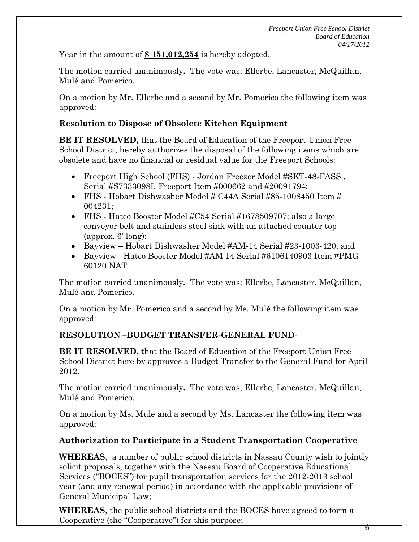Year in the amount of **\$ 151,012,254** is hereby adopted.

The motion carried unanimously**.** The vote was; Ellerbe, Lancaster, McQuillan, Mulé and Pomerico.

On a motion by Mr. Ellerbe and a second by Mr. Pomerico the following item was approved:

## **Resolution to Dispose of Obsolete Kitchen Equipment**

**BE IT RESOLVED,** that the Board of Education of the Freeport Union Free School District, hereby authorizes the disposal of the following items which are obsolete and have no financial or residual value for the Freeport Schools:

- Freeport High School (FHS) Jordan Freezer Model #SKT-48-FASS , Serial #S7333098I, Freeport Item #000662 and #20091794;
- FHS Hobart Dishwasher Model  $\#$  C44A Serial  $\#85$ -1008450 Item  $\#$ 004231;
- FHS Hatco Booster Model #C54 Serial #1678509707; also a large conveyor belt and stainless steel sink with an attached counter top (approx. 6' long);
- Bayview Hobart Dishwasher Model #AM-14 Serial #23-1003-420; and
- Bayview Hatco Booster Model #AM 14 Serial #6106140903 Item #PMG 60120 NAT

The motion carried unanimously**.** The vote was; Ellerbe, Lancaster, McQuillan, Mulé and Pomerico.

On a motion by Mr. Pomerico and a second by Ms. Mulé the following item was approved:

## **RESOLUTION –BUDGET TRANSFER-GENERAL FUND-**

**BE IT RESOLVED**, that the Board of Education of the Freeport Union Free School District here by approves a Budget Transfer to the General Fund for April 2012.

The motion carried unanimously**.** The vote was; Ellerbe, Lancaster, McQuillan, Mulé and Pomerico.

On a motion by Ms. Mule and a second by Ms. Lancaster the following item was approved:

## **Authorization to Participate in a Student Transportation Cooperative**

**WHEREAS**, a number of public school districts in Nassau County wish to jointly solicit proposals, together with the Nassau Board of Cooperative Educational Services ("BOCES") for pupil transportation services for the 2012-2013 school year (and any renewal period) in accordance with the applicable provisions of General Municipal Law;

**WHEREAS**, the public school districts and the BOCES have agreed to form a Cooperative (the "Cooperative") for this purpose;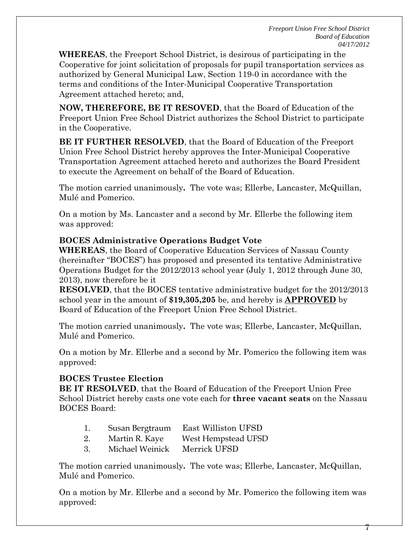**WHEREAS**, the Freeport School District, is desirous of participating in the Cooperative for joint solicitation of proposals for pupil transportation services as authorized by General Municipal Law, Section 119-0 in accordance with the terms and conditions of the Inter-Municipal Cooperative Transportation Agreement attached hereto; and,

**NOW, THEREFORE, BE IT RESOVED**, that the Board of Education of the Freeport Union Free School District authorizes the School District to participate in the Cooperative.

**BE IT FURTHER RESOLVED**, that the Board of Education of the Freeport Union Free School District hereby approves the Inter-Municipal Cooperative Transportation Agreement attached hereto and authorizes the Board President to execute the Agreement on behalf of the Board of Education.

The motion carried unanimously**.** The vote was; Ellerbe, Lancaster, McQuillan, Mulé and Pomerico.

On a motion by Ms. Lancaster and a second by Mr. Ellerbe the following item was approved:

## **BOCES Administrative Operations Budget Vote**

**WHEREAS**, the Board of Cooperative Education Services of Nassau County (hereinafter "BOCES") has proposed and presented its tentative Administrative Operations Budget for the 2012/2013 school year (July 1, 2012 through June 30, 2013), now therefore be it

**RESOLVED**, that the BOCES tentative administrative budget for the 2012/2013 school year in the amount of **\$19,305,205** be, and hereby is **APPROVED** by Board of Education of the Freeport Union Free School District.

The motion carried unanimously**.** The vote was; Ellerbe, Lancaster, McQuillan, Mulé and Pomerico.

On a motion by Mr. Ellerbe and a second by Mr. Pomerico the following item was approved:

## **BOCES Trustee Election**

**BE IT RESOLVED**, that the Board of Education of the Freeport Union Free School District hereby casts one vote each for **three vacant seats** on the Nassau BOCES Board:

|                 | East Williston UFSD |  |
|-----------------|---------------------|--|
| Susan Bergtraum |                     |  |

- 2. Martin R. Kaye West Hempstead UFSD
- 3. Michael Weinick Merrick UFSD

The motion carried unanimously**.** The vote was; Ellerbe, Lancaster, McQuillan, Mulé and Pomerico.

On a motion by Mr. Ellerbe and a second by Mr. Pomerico the following item was approved: